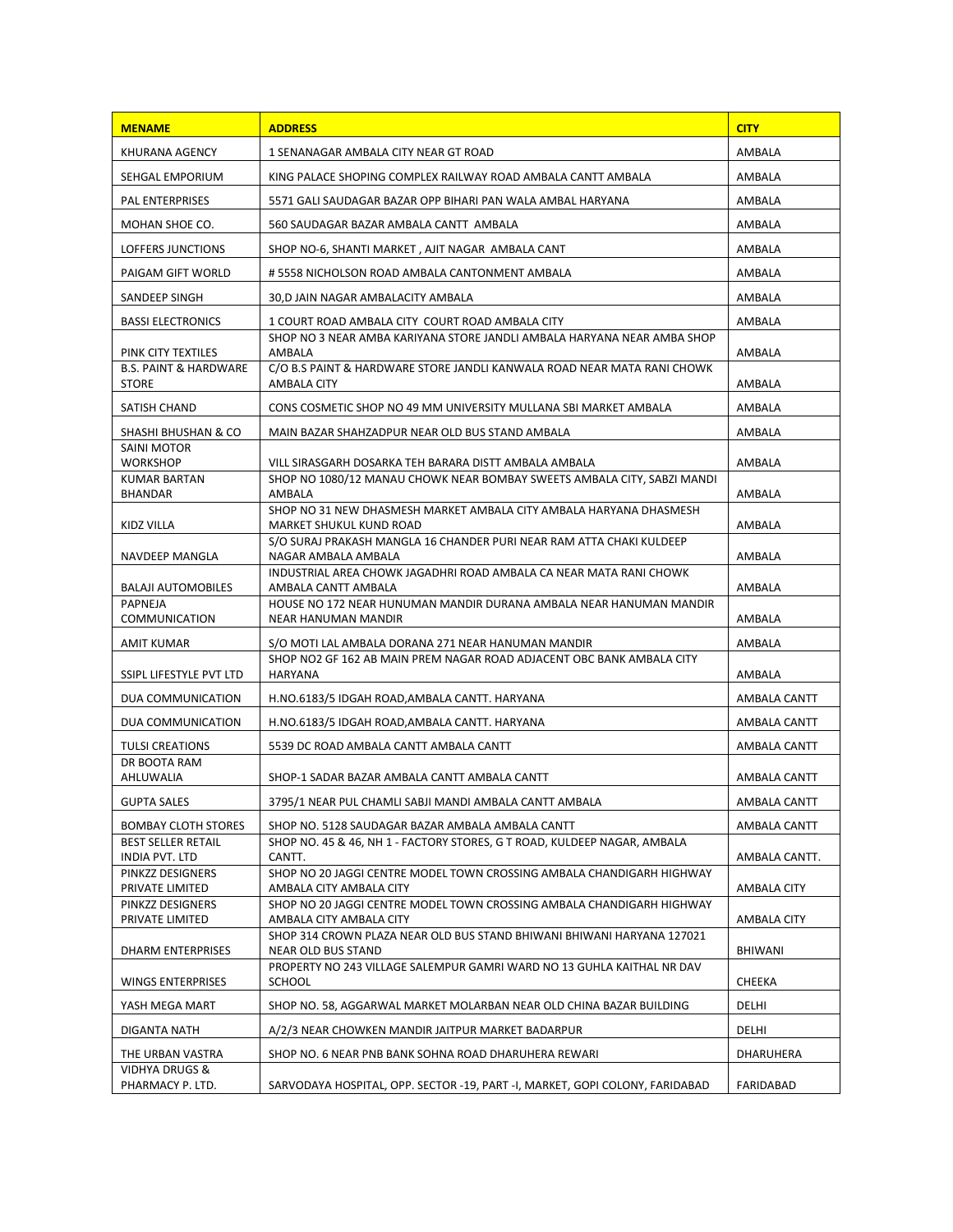| <b>MENAME</b>                                    | <b>ADDRESS</b>                                                                                         | <b>CITY</b>   |
|--------------------------------------------------|--------------------------------------------------------------------------------------------------------|---------------|
| KHURANA AGENCY                                   | 1 SENANAGAR AMBALA CITY NEAR GT ROAD                                                                   | AMBALA        |
| SEHGAL EMPORIUM                                  | KING PALACE SHOPING COMPLEX RAILWAY ROAD AMBALA CANTT AMBALA                                           | AMBALA        |
| <b>PAL ENTERPRISES</b>                           | 5571 GALI SAUDAGAR BAZAR OPP BIHARI PAN WALA AMBAL HARYANA                                             | AMBALA        |
| MOHAN SHOE CO.                                   | 560 SAUDAGAR BAZAR AMBALA CANTT AMBALA                                                                 | AMBALA        |
| LOFFERS JUNCTIONS                                | SHOP NO-6, SHANTI MARKET, AJIT NAGAR AMBALA CANT                                                       | AMBALA        |
| PAIGAM GIFT WORLD                                | # 5558 NICHOLSON ROAD AMBALA CANTONMENT AMBALA                                                         | AMBALA        |
| SANDEEP SINGH                                    | 30,D JAIN NAGAR AMBALACITY AMBALA                                                                      | AMBALA        |
| <b>BASSI ELECTRONICS</b>                         | 1 COURT ROAD AMBALA CITY COURT ROAD AMBALA CITY                                                        | AMBALA        |
| PINK CITY TEXTILES                               | SHOP NO 3 NEAR AMBA KARIYANA STORE JANDLI AMBALA HARYANA NEAR AMBA SHOP<br>AMBALA                      | AMBALA        |
| <b>B.S. PAINT &amp; HARDWARE</b><br><b>STORE</b> | C/O B.S PAINT & HARDWARE STORE JANDLI KANWALA ROAD NEAR MATA RANI CHOWK<br>AMBALA CITY                 | AMBALA        |
| SATISH CHAND                                     | CONS COSMETIC SHOP NO 49 MM UNIVERSITY MULLANA SBI MARKET AMBALA                                       | AMBALA        |
| SHASHI BHUSHAN & CO                              | MAIN BAZAR SHAHZADPUR NEAR OLD BUS STAND AMBALA                                                        | AMBALA        |
| <b>SAINI MOTOR</b><br><b>WORKSHOP</b>            | VILL SIRASGARH DOSARKA TEH BARARA DISTT AMBALA AMBALA                                                  | AMBALA        |
| <b>KUMAR BARTAN</b><br>BHANDAR                   | SHOP NO 1080/12 MANAU CHOWK NEAR BOMBAY SWEETS AMBALA CITY, SABZI MANDI<br>AMBALA                      | AMBALA        |
|                                                  | SHOP NO 31 NEW DHASMESH MARKET AMBALA CITY AMBALA HARYANA DHASMESH                                     |               |
| KIDZ VILLA                                       | <b>MARKET SHUKUL KUND ROAD</b><br>S/O SURAJ PRAKASH MANGLA 16 CHANDER PURI NEAR RAM ATTA CHAKI KULDEEP | AMBALA        |
| NAVDEEP MANGLA                                   | NAGAR AMBALA AMBALA<br>INDUSTRIAL AREA CHOWK JAGADHRI ROAD AMBALA CA NEAR MATA RANI CHOWK              | AMBALA        |
| <b>BALAJI AUTOMOBILES</b>                        | AMBALA CANTT AMBALA                                                                                    | AMBALA        |
| PAPNEJA<br>COMMUNICATION                         | HOUSE NO 172 NEAR HUNUMAN MANDIR DURANA AMBALA NEAR HANUMAN MANDIR<br>NEAR HANUMAN MANDIR              | AMBALA        |
| AMIT KUMAR                                       | S/O MOTI LAL AMBALA DORANA 271 NEAR HANUMAN MANDIR                                                     | AMBALA        |
| SSIPL LIFESTYLE PVT LTD                          | SHOP NO2 GF 162 AB MAIN PREM NAGAR ROAD ADJACENT OBC BANK AMBALA CITY<br>HARYANA                       | AMBALA        |
| DUA COMMUNICATION                                | H.NO.6183/5 IDGAH ROAD,AMBALA CANTT. HARYANA                                                           | AMBALA CANTT  |
| DUA COMMUNICATION                                | H.NO.6183/5 IDGAH ROAD, AMBALA CANTT. HARYANA                                                          | AMBALA CANTT  |
| <b>TULSI CREATIONS</b>                           | 5539 DC ROAD AMBALA CANTT AMBALA CANTT                                                                 | AMBALA CANTT  |
| DR BOOTA RAM<br>AHLUWALIA                        | SHOP-1 SADAR BAZAR AMBALA CANTT AMBALA CANTT                                                           | AMBALA CANTT  |
| <b>GUPTA SALES</b>                               | 3795/1 NEAR PUL CHAMLI SABJI MANDI AMBALA CANTT AMBALA                                                 | AMBALA CANTT  |
| <b>BOMBAY CLOTH STORES</b>                       | SHOP NO. 5128 SAUDAGAR BAZAR AMBALA AMBALA CANTT                                                       | AMBALA CANTT  |
| <b>BEST SELLER RETAIL</b>                        | SHOP NO. 45 & 46, NH 1 - FACTORY STORES, G T ROAD, KULDEEP NAGAR, AMBALA                               |               |
| INDIA PVT. LTD                                   | CANTT.                                                                                                 | AMBALA CANTT. |
| PINKZZ DESIGNERS<br>PRIVATE LIMITED              | SHOP NO 20 JAGGI CENTRE MODEL TOWN CROSSING AMBALA CHANDIGARH HIGHWAY<br>AMBALA CITY AMBALA CITY       | AMBALA CITY   |
| PINKZZ DESIGNERS                                 | SHOP NO 20 JAGGI CENTRE MODEL TOWN CROSSING AMBALA CHANDIGARH HIGHWAY                                  |               |
| PRIVATE LIMITED                                  | AMBALA CITY AMBALA CITY<br>SHOP 314 CROWN PLAZA NEAR OLD BUS STAND BHIWANI BHIWANI HARYANA 127021      | AMBALA CITY   |
| <b>DHARM ENTERPRISES</b>                         | NEAR OLD BUS STAND                                                                                     | BHIWANI       |
| <b>WINGS ENTERPRISES</b>                         | PROPERTY NO 243 VILLAGE SALEMPUR GAMRI WARD NO 13 GUHLA KAITHAL NR DAV<br><b>SCHOOL</b>                | <b>CHEEKA</b> |
| YASH MEGA MART                                   | SHOP NO. 58, AGGARWAL MARKET MOLARBAN NEAR OLD CHINA BAZAR BUILDING                                    | DELHI         |
| DIGANTA NATH                                     | A/2/3 NEAR CHOWKEN MANDIR JAITPUR MARKET BADARPUR                                                      | DELHI         |
| THE URBAN VASTRA                                 | SHOP NO. 6 NEAR PNB BANK SOHNA ROAD DHARUHERA REWARI                                                   | DHARUHERA     |
| <b>VIDHYA DRUGS &amp;</b><br>PHARMACY P. LTD.    | SARVODAYA HOSPITAL, OPP. SECTOR -19, PART -1, MARKET, GOPI COLONY, FARIDABAD                           | FARIDABAD     |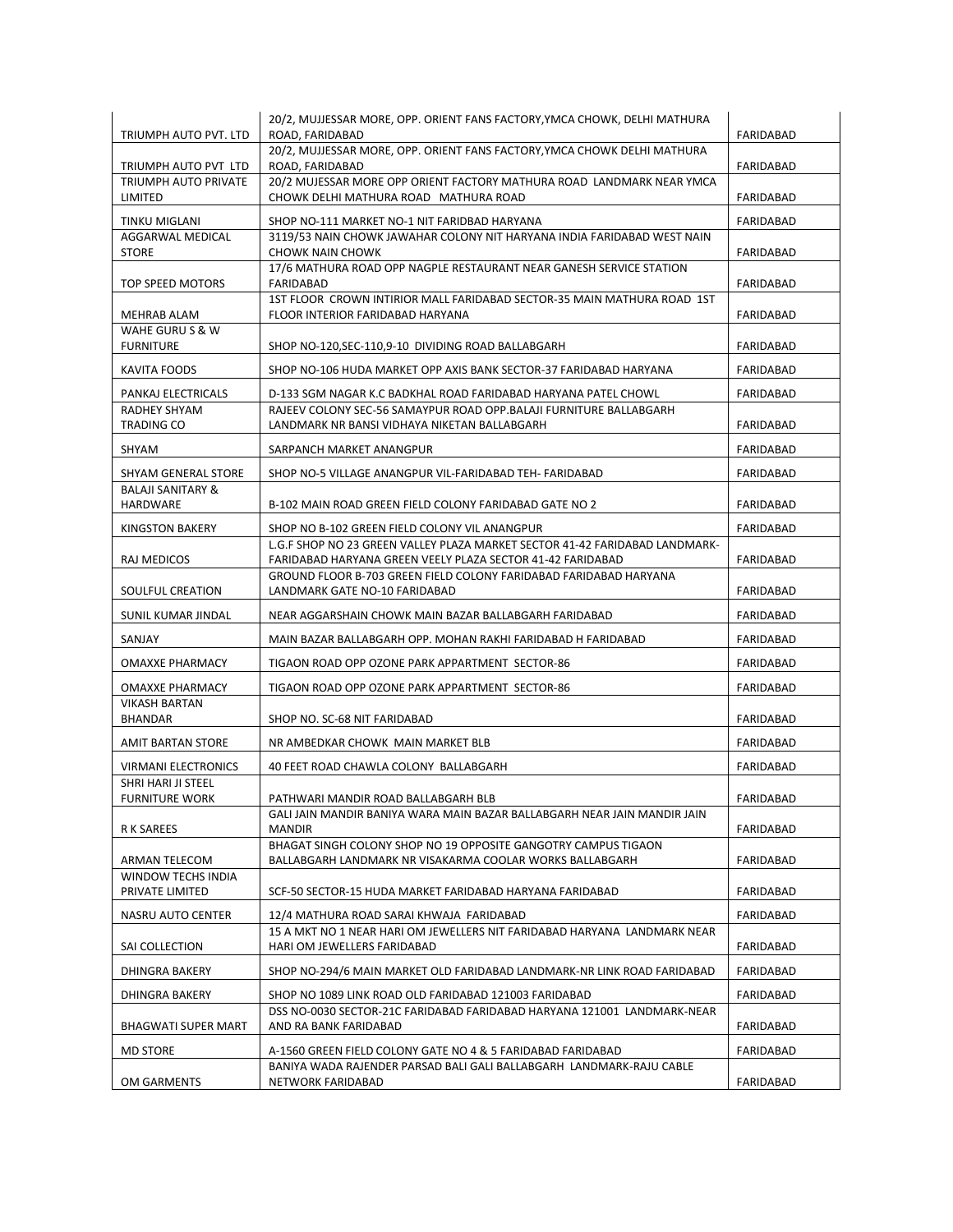| TRIUMPH AUTO PVT. LTD                           | 20/2, MUJJESSAR MORE, OPP. ORIENT FANS FACTORY, YMCA CHOWK, DELHI MATHURA<br>ROAD. FARIDABAD                                              | FARIDABAD        |
|-------------------------------------------------|-------------------------------------------------------------------------------------------------------------------------------------------|------------------|
| TRIUMPH AUTO PVT LTD                            | 20/2, MUJJESSAR MORE, OPP. ORIENT FANS FACTORY, YMCA CHOWK DELHI MATHURA<br>ROAD, FARIDABAD                                               | FARIDABAD        |
| TRIUMPH AUTO PRIVATE<br>LIMITED                 | 20/2 MUJESSAR MORE OPP ORIENT FACTORY MATHURA ROAD LANDMARK NEAR YMCA<br>CHOWK DELHI MATHURA ROAD MATHURA ROAD                            | FARIDABAD        |
| TINKU MIGLANI                                   | SHOP NO-111 MARKET NO-1 NIT FARIDBAD HARYANA                                                                                              | FARIDABAD        |
| AGGARWAL MEDICAL                                | 3119/53 NAIN CHOWK JAWAHAR COLONY NIT HARYANA INDIA FARIDABAD WEST NAIN                                                                   |                  |
| <b>STORE</b>                                    | <b>CHOWK NAIN CHOWK</b>                                                                                                                   | FARIDABAD        |
| TOP SPEED MOTORS                                | 17/6 MATHURA ROAD OPP NAGPLE RESTAURANT NEAR GANESH SERVICE STATION<br>FARIDABAD                                                          | FARIDABAD        |
| MEHRAB ALAM                                     | 1ST FLOOR CROWN INTIRIOR MALL FARIDABAD SECTOR-35 MAIN MATHURA ROAD 1ST<br>FLOOR INTERIOR FARIDABAD HARYANA                               | FARIDABAD        |
| WAHE GURU S & W<br><b>FURNITURE</b>             | SHOP NO-120, SEC-110, 9-10 DIVIDING ROAD BALLABGARH                                                                                       | FARIDABAD        |
| KAVITA FOODS                                    | SHOP NO-106 HUDA MARKET OPP AXIS BANK SECTOR-37 FARIDABAD HARYANA                                                                         | FARIDABAD        |
| PANKAJ ELECTRICALS                              | D-133 SGM NAGAR K.C BADKHAL ROAD FARIDABAD HARYANA PATEL CHOWL                                                                            | FARIDABAD        |
| RADHEY SHYAM                                    | RAJEEV COLONY SEC-56 SAMAYPUR ROAD OPP.BALAJI FURNITURE BALLABGARH                                                                        |                  |
| <b>TRADING CO</b>                               | LANDMARK NR BANSI VIDHAYA NIKETAN BALLABGARH                                                                                              | FARIDABAD        |
| SHYAM                                           | SARPANCH MARKET ANANGPUR                                                                                                                  | <b>FARIDABAD</b> |
| SHYAM GENERAL STORE                             | SHOP NO-5 VILLAGE ANANGPUR VIL-FARIDABAD TEH- FARIDABAD                                                                                   | FARIDABAD        |
| <b>BALAJI SANITARY &amp;</b><br><b>HARDWARE</b> | B-102 MAIN ROAD GREEN FIELD COLONY FARIDABAD GATE NO 2                                                                                    | <b>FARIDABAD</b> |
| KINGSTON BAKERY                                 | SHOP NO B-102 GREEN FIELD COLONY VIL ANANGPUR                                                                                             | FARIDABAD        |
| RAJ MEDICOS                                     | L.G.F SHOP NO 23 GREEN VALLEY PLAZA MARKET SECTOR 41-42 FARIDABAD LANDMARK-<br>FARIDABAD HARYANA GREEN VEELY PLAZA SECTOR 41-42 FARIDABAD | FARIDABAD        |
| SOULFUL CREATION                                | GROUND FLOOR B-703 GREEN FIELD COLONY FARIDABAD FARIDABAD HARYANA<br>LANDMARK GATE NO-10 FARIDABAD                                        | FARIDABAD        |
| SUNIL KUMAR JINDAL                              | NEAR AGGARSHAIN CHOWK MAIN BAZAR BALLABGARH FARIDABAD                                                                                     | FARIDABAD        |
| SANJAY                                          | MAIN BAZAR BALLABGARH OPP. MOHAN RAKHI FARIDABAD H FARIDABAD                                                                              | FARIDABAD        |
| <b>OMAXXE PHARMACY</b>                          | TIGAON ROAD OPP OZONE PARK APPARTMENT SECTOR-86                                                                                           | FARIDABAD        |
| <b>OMAXXE PHARMACY</b>                          | TIGAON ROAD OPP OZONE PARK APPARTMENT SECTOR-86                                                                                           | FARIDABAD        |
| <b>VIKASH BARTAN</b><br>BHANDAR                 | SHOP NO. SC-68 NIT FARIDABAD                                                                                                              | FARIDABAD        |
| AMIT BARTAN STORE                               | NR AMBEDKAR CHOWK MAIN MARKET BLB                                                                                                         | FARIDABAD        |
| <b>VIRMANI ELECTRONICS</b>                      | 40 FEET ROAD CHAWLA COLONY BALLABGARH                                                                                                     | FARIDABAD        |
| SHRI HARI JI STEEL                              |                                                                                                                                           |                  |
| <b>FURNITURE WORK</b>                           | PATHWARI MANDIR ROAD BALLABGARH BLB                                                                                                       | FARIDABAD        |
| R K SAREES                                      | GALI JAIN MANDIR BANIYA WARA MAIN BAZAR BALLABGARH NEAR JAIN MANDIR JAIN<br><b>MANDIR</b>                                                 | FARIDABAD        |
| ARMAN TELECOM                                   | BHAGAT SINGH COLONY SHOP NO 19 OPPOSITE GANGOTRY CAMPUS TIGAON<br>BALLABGARH LANDMARK NR VISAKARMA COOLAR WORKS BALLABGARH                | FARIDABAD        |
| <b>WINDOW TECHS INDIA</b><br>PRIVATE LIMITED    |                                                                                                                                           |                  |
|                                                 | SCF-50 SECTOR-15 HUDA MARKET FARIDABAD HARYANA FARIDABAD                                                                                  | FARIDABAD        |
| NASRU AUTO CENTER                               | 12/4 MATHURA ROAD SARAI KHWAJA FARIDABAD<br>15 A MKT NO 1 NEAR HARI OM JEWELLERS NIT FARIDABAD HARYANA LANDMARK NEAR                      | FARIDABAD        |
| SAI COLLECTION                                  | HARI OM JEWELLERS FARIDABAD                                                                                                               | FARIDABAD        |
| DHINGRA BAKERY                                  | SHOP NO-294/6 MAIN MARKET OLD FARIDABAD LANDMARK-NR LINK ROAD FARIDABAD                                                                   | FARIDABAD        |
| DHINGRA BAKERY                                  | SHOP NO 1089 LINK ROAD OLD FARIDABAD 121003 FARIDABAD                                                                                     | FARIDABAD        |
| <b>BHAGWATI SUPER MART</b>                      | DSS NO-0030 SECTOR-21C FARIDABAD FARIDABAD HARYANA 121001 LANDMARK-NEAR<br>AND RA BANK FARIDABAD                                          | FARIDABAD        |
| MD STORE                                        | A-1560 GREEN FIELD COLONY GATE NO 4 & 5 FARIDABAD FARIDABAD                                                                               | FARIDABAD        |
| OM GARMENTS                                     | BANIYA WADA RAJENDER PARSAD BALI GALI BALLABGARH LANDMARK-RAJU CABLE<br>NETWORK FARIDABAD                                                 | FARIDABAD        |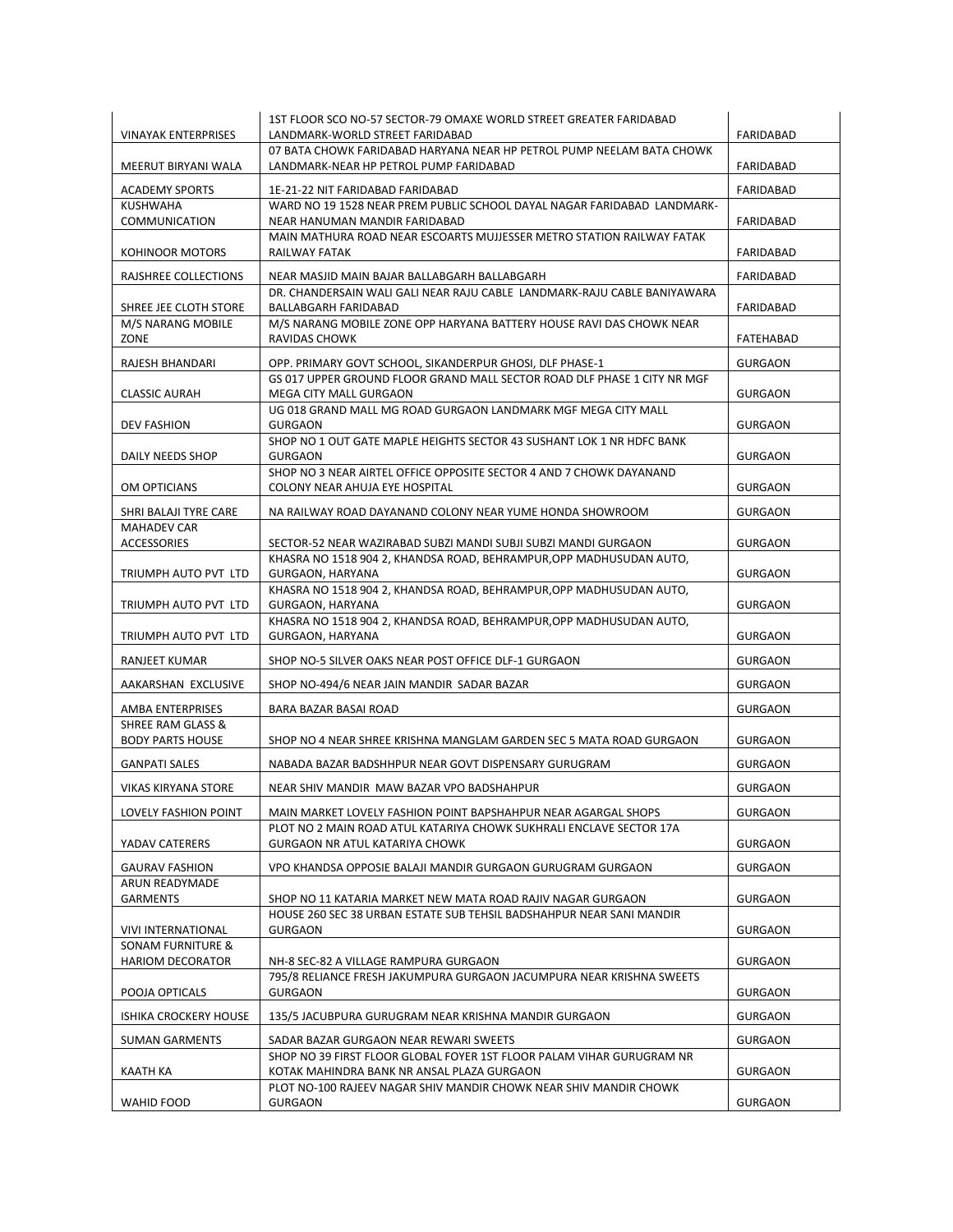| <b>VINAYAK ENTERPRISES</b>                              | 1ST FLOOR SCO NO-57 SECTOR-79 OMAXE WORLD STREET GREATER FARIDABAD<br>LANDMARK-WORLD STREET FARIDABAD               | FARIDABAD        |
|---------------------------------------------------------|---------------------------------------------------------------------------------------------------------------------|------------------|
| MEERUT BIRYANI WALA                                     | 07 BATA CHOWK FARIDABAD HARYANA NEAR HP PETROL PUMP NEELAM BATA CHOWK<br>LANDMARK-NEAR HP PETROL PUMP FARIDABAD     | FARIDABAD        |
| <b>ACADEMY SPORTS</b>                                   | 1E-21-22 NIT FARIDABAD FARIDABAD                                                                                    | <b>FARIDABAD</b> |
| <b>KUSHWAHA</b><br>COMMUNICATION                        | WARD NO 19 1528 NEAR PREM PUBLIC SCHOOL DAYAL NAGAR FARIDABAD LANDMARK-<br>NEAR HANUMAN MANDIR FARIDABAD            | FARIDABAD        |
| KOHINOOR MOTORS                                         | MAIN MATHURA ROAD NEAR ESCOARTS MUJJESSER METRO STATION RAILWAY FATAK<br>RAILWAY FATAK                              | FARIDABAD        |
| RAJSHREE COLLECTIONS                                    | NEAR MASJID MAIN BAJAR BALLABGARH BALLABGARH                                                                        | <b>FARIDABAD</b> |
| SHREE JEE CLOTH STORE                                   | DR. CHANDERSAIN WALI GALI NEAR RAJU CABLE LANDMARK-RAJU CABLE BANIYAWARA<br>BALLABGARH FARIDABAD                    | FARIDABAD        |
| M/S NARANG MOBILE<br>ZONE                               | M/S NARANG MOBILE ZONE OPP HARYANA BATTERY HOUSE RAVI DAS CHOWK NEAR<br>RAVIDAS CHOWK                               | FATEHABAD        |
| RAJESH BHANDARI                                         | OPP. PRIMARY GOVT SCHOOL, SIKANDERPUR GHOSI, DLF PHASE-1                                                            | <b>GURGAON</b>   |
| <b>CLASSIC AURAH</b>                                    | GS 017 UPPER GROUND FLOOR GRAND MALL SECTOR ROAD DLF PHASE 1 CITY NR MGF<br>MEGA CITY MALL GURGAON                  | <b>GURGAON</b>   |
| <b>DEV FASHION</b>                                      | UG 018 GRAND MALL MG ROAD GURGAON LANDMARK MGF MEGA CITY MALL<br><b>GURGAON</b>                                     | <b>GURGAON</b>   |
| DAILY NEEDS SHOP                                        | SHOP NO 1 OUT GATE MAPLE HEIGHTS SECTOR 43 SUSHANT LOK 1 NR HDFC BANK<br><b>GURGAON</b>                             | <b>GURGAON</b>   |
| OM OPTICIANS                                            | SHOP NO 3 NEAR AIRTEL OFFICE OPPOSITE SECTOR 4 AND 7 CHOWK DAYANAND<br>COLONY NEAR AHUJA EYE HOSPITAL               | <b>GURGAON</b>   |
| SHRI BALAJI TYRE CARE                                   | NA RAILWAY ROAD DAYANAND COLONY NEAR YUME HONDA SHOWROOM                                                            | <b>GURGAON</b>   |
| <b>MAHADEV CAR</b><br><b>ACCESSORIES</b>                | SECTOR-52 NEAR WAZIRABAD SUBZI MANDI SUBJI SUBZI MANDI GURGAON                                                      | <b>GURGAON</b>   |
| TRIUMPH AUTO PVT LTD                                    | KHASRA NO 1518 904 2, KHANDSA ROAD, BEHRAMPUR, OPP MADHUSUDAN AUTO,<br>GURGAON, HARYANA                             | <b>GURGAON</b>   |
| TRIUMPH AUTO PVT LTD                                    | KHASRA NO 1518 904 2, KHANDSA ROAD, BEHRAMPUR, OPP MADHUSUDAN AUTO,<br>GURGAON, HARYANA                             | <b>GURGAON</b>   |
| TRIUMPH AUTO PVT LTD                                    | KHASRA NO 1518 904 2, KHANDSA ROAD, BEHRAMPUR, OPP MADHUSUDAN AUTO,<br>GURGAON, HARYANA                             | <b>GURGAON</b>   |
| RANJEET KUMAR                                           | SHOP NO-5 SILVER OAKS NEAR POST OFFICE DLF-1 GURGAON                                                                | <b>GURGAON</b>   |
| AAKARSHAN EXCLUSIVE                                     | SHOP NO-494/6 NEAR JAIN MANDIR SADAR BAZAR                                                                          | <b>GURGAON</b>   |
| AMBA ENTERPRISES<br><b>SHREE RAM GLASS &amp;</b>        | BARA BAZAR BASAI ROAD                                                                                               | <b>GURGAON</b>   |
| <b>BODY PARTS HOUSE</b>                                 | SHOP NO 4 NEAR SHREE KRISHNA MANGLAM GARDEN SEC 5 MATA ROAD GURGAON                                                 | <b>GURGAON</b>   |
| <b>GANPATI SALES</b>                                    | NABADA BAZAR BADSHHPUR NEAR GOVT DISPENSARY GURUGRAM                                                                | <b>GURGAON</b>   |
| <b>VIKAS KIRYANA STORE</b>                              | NEAR SHIV MANDIR MAW BAZAR VPO BADSHAHPUR                                                                           | <b>GURGAON</b>   |
| LOVELY FASHION POINT                                    | MAIN MARKET LOVELY FASHION POINT BAPSHAHPUR NEAR AGARGAL SHOPS                                                      | <b>GURGAON</b>   |
| YADAV CATERERS                                          | PLOT NO 2 MAIN ROAD ATUL KATARIYA CHOWK SUKHRALI ENCLAVE SECTOR 17A<br><b>GURGAON NR ATUL KATARIYA CHOWK</b>        | <b>GURGAON</b>   |
| <b>GAURAV FASHION</b>                                   | VPO KHANDSA OPPOSIE BALAJI MANDIR GURGAON GURUGRAM GURGAON                                                          | <b>GURGAON</b>   |
| ARUN READYMADE<br><b>GARMENTS</b>                       | SHOP NO 11 KATARIA MARKET NEW MATA ROAD RAJIV NAGAR GURGAON                                                         | <b>GURGAON</b>   |
| VIVI INTERNATIONAL                                      | HOUSE 260 SEC 38 URBAN ESTATE SUB TEHSIL BADSHAHPUR NEAR SANI MANDIR<br><b>GURGAON</b>                              | <b>GURGAON</b>   |
| <b>SONAM FURNITURE &amp;</b><br><b>HARIOM DECORATOR</b> | NH-8 SEC-82 A VILLAGE RAMPURA GURGAON                                                                               | <b>GURGAON</b>   |
| POOJA OPTICALS                                          | 795/8 RELIANCE FRESH JAKUMPURA GURGAON JACUMPURA NEAR KRISHNA SWEETS<br><b>GURGAON</b>                              | <b>GURGAON</b>   |
| <b>ISHIKA CROCKERY HOUSE</b>                            | 135/5 JACUBPURA GURUGRAM NEAR KRISHNA MANDIR GURGAON                                                                | <b>GURGAON</b>   |
| <b>SUMAN GARMENTS</b>                                   | SADAR BAZAR GURGAON NEAR REWARI SWEETS                                                                              | <b>GURGAON</b>   |
| KAATH KA                                                | SHOP NO 39 FIRST FLOOR GLOBAL FOYER 1ST FLOOR PALAM VIHAR GURUGRAM NR<br>KOTAK MAHINDRA BANK NR ANSAL PLAZA GURGAON | <b>GURGAON</b>   |
| WAHID FOOD                                              | PLOT NO-100 RAJEEV NAGAR SHIV MANDIR CHOWK NEAR SHIV MANDIR CHOWK<br><b>GURGAON</b>                                 | <b>GURGAON</b>   |